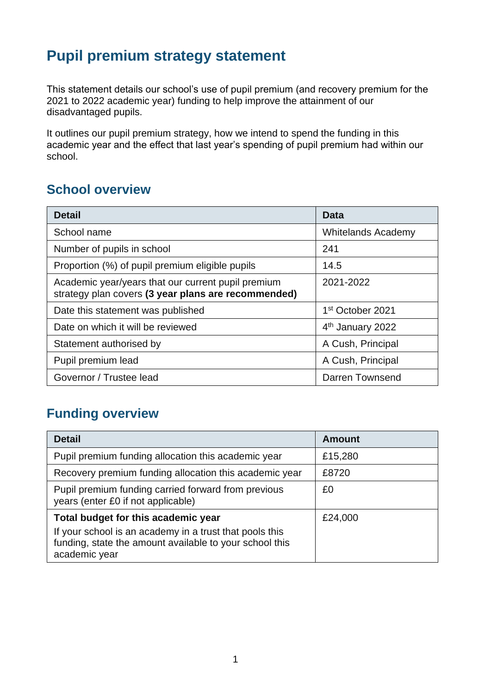## **Pupil premium strategy statement**

This statement details our school's use of pupil premium (and recovery premium for the 2021 to 2022 academic year) funding to help improve the attainment of our disadvantaged pupils.

It outlines our pupil premium strategy, how we intend to spend the funding in this academic year and the effect that last year's spending of pupil premium had within our school.

#### **School overview**

| <b>Detail</b>                                                                                             | Data                         |
|-----------------------------------------------------------------------------------------------------------|------------------------------|
| School name                                                                                               | <b>Whitelands Academy</b>    |
| Number of pupils in school                                                                                | 241                          |
| Proportion (%) of pupil premium eligible pupils                                                           | 14.5                         |
| Academic year/years that our current pupil premium<br>strategy plan covers (3 year plans are recommended) | 2021-2022                    |
| Date this statement was published                                                                         | 1 <sup>st</sup> October 2021 |
| Date on which it will be reviewed                                                                         | 4 <sup>th</sup> January 2022 |
| Statement authorised by                                                                                   | A Cush, Principal            |
| Pupil premium lead                                                                                        | A Cush, Principal            |
| Governor / Trustee lead                                                                                   | Darren Townsend              |

## **Funding overview**

| <b>Detail</b>                                                                                                                       | <b>Amount</b> |
|-------------------------------------------------------------------------------------------------------------------------------------|---------------|
| Pupil premium funding allocation this academic year                                                                                 | £15,280       |
| Recovery premium funding allocation this academic year                                                                              | £8720         |
| Pupil premium funding carried forward from previous<br>years (enter £0 if not applicable)                                           | £0            |
| Total budget for this academic year                                                                                                 | £24,000       |
| If your school is an academy in a trust that pools this<br>funding, state the amount available to your school this<br>academic year |               |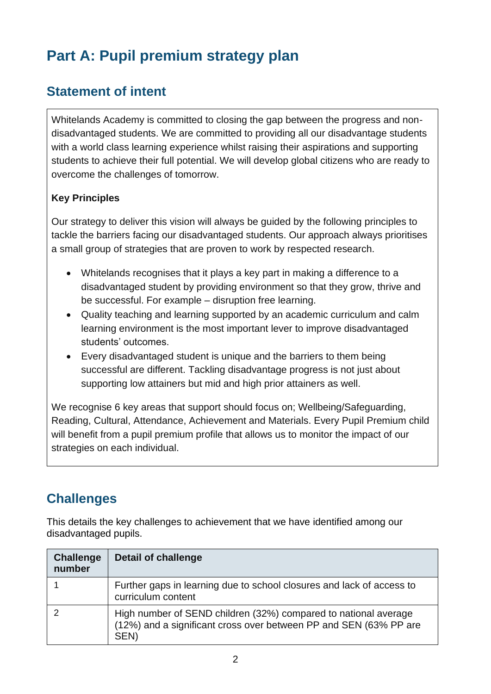# **Part A: Pupil premium strategy plan**

## **Statement of intent**

Whitelands Academy is committed to closing the gap between the progress and nondisadvantaged students. We are committed to providing all our disadvantage students with a world class learning experience whilst raising their aspirations and supporting students to achieve their full potential. We will develop global citizens who are ready to overcome the challenges of tomorrow.

#### **Key Principles**

Our strategy to deliver this vision will always be guided by the following principles to tackle the barriers facing our disadvantaged students. Our approach always prioritises a small group of strategies that are proven to work by respected research.

- Whitelands recognises that it plays a key part in making a difference to a disadvantaged student by providing environment so that they grow, thrive and be successful. For example – disruption free learning.
- Quality teaching and learning supported by an academic curriculum and calm learning environment is the most important lever to improve disadvantaged students' outcomes.
- Every disadvantaged student is unique and the barriers to them being successful are different. Tackling disadvantage progress is not just about supporting low attainers but mid and high prior attainers as well.

We recognise 6 key areas that support should focus on; Wellbeing/Safeguarding, Reading, Cultural, Attendance, Achievement and Materials. Every Pupil Premium child will benefit from a pupil premium profile that allows us to monitor the impact of our strategies on each individual.

## **Challenges**

This details the key challenges to achievement that we have identified among our disadvantaged pupils.

| <b>Challenge</b><br>number | <b>Detail of challenge</b>                                                                                                                   |
|----------------------------|----------------------------------------------------------------------------------------------------------------------------------------------|
|                            | Further gaps in learning due to school closures and lack of access to<br>curriculum content                                                  |
|                            | High number of SEND children (32%) compared to national average<br>(12%) and a significant cross over between PP and SEN (63% PP are<br>SEN) |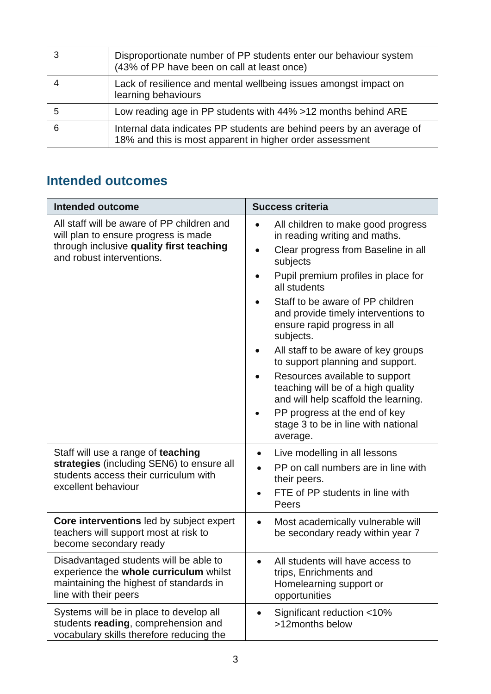| Disproportionate number of PP students enter our behaviour system<br>(43% of PP have been on call at least once)                  |
|-----------------------------------------------------------------------------------------------------------------------------------|
| Lack of resilience and mental wellbeing issues amongst impact on<br>learning behaviours                                           |
| Low reading age in PP students with 44% > 12 months behind ARE                                                                    |
| Internal data indicates PP students are behind peers by an average of<br>18% and this is most apparent in higher order assessment |

## **Intended outcomes**

| <b>Intended outcome</b>                                                                                                                                     | <b>Success criteria</b>                                                                                                             |
|-------------------------------------------------------------------------------------------------------------------------------------------------------------|-------------------------------------------------------------------------------------------------------------------------------------|
| All staff will be aware of PP children and<br>will plan to ensure progress is made<br>through inclusive quality first teaching<br>and robust interventions. | All children to make good progress<br>in reading writing and maths.<br>Clear progress from Baseline in all<br>$\bullet$<br>subjects |
|                                                                                                                                                             | Pupil premium profiles in place for<br>all students                                                                                 |
|                                                                                                                                                             | Staff to be aware of PP children<br>and provide timely interventions to<br>ensure rapid progress in all<br>subjects.                |
|                                                                                                                                                             | All staff to be aware of key groups<br>to support planning and support.                                                             |
|                                                                                                                                                             | Resources available to support<br>teaching will be of a high quality<br>and will help scaffold the learning.                        |
|                                                                                                                                                             | PP progress at the end of key<br>stage 3 to be in line with national<br>average.                                                    |
| Staff will use a range of teaching                                                                                                                          | Live modelling in all lessons<br>$\bullet$                                                                                          |
| strategies (including SEN6) to ensure all<br>students access their curriculum with<br>excellent behaviour                                                   | PP on call numbers are in line with<br>their peers.                                                                                 |
|                                                                                                                                                             | FTE of PP students in line with<br>Peers                                                                                            |
| Core interventions led by subject expert<br>teachers will support most at risk to<br>become secondary ready                                                 | Most academically vulnerable will<br>$\bullet$<br>be secondary ready within year 7                                                  |
| Disadvantaged students will be able to<br>experience the whole curriculum whilst<br>maintaining the highest of standards in<br>line with their peers        | All students will have access to<br>$\bullet$<br>trips, Enrichments and<br>Homelearning support or<br>opportunities                 |
| Systems will be in place to develop all<br>students reading, comprehension and<br>vocabulary skills therefore reducing the                                  | Significant reduction <10%<br>$\bullet$<br>>12months below                                                                          |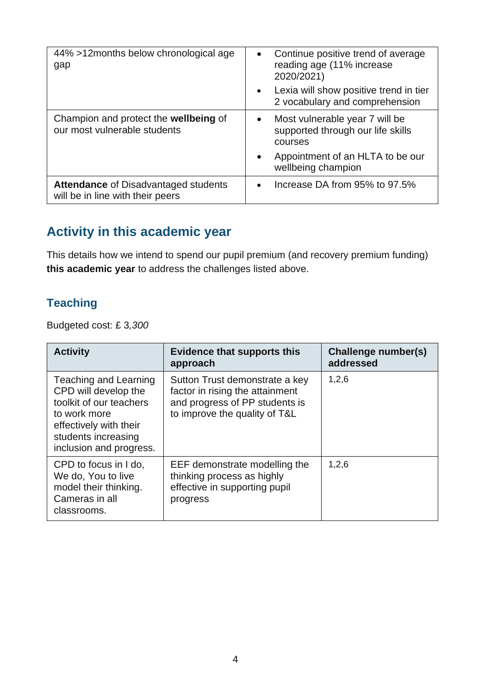| 44% >12 months below chronological age<br>gap                                   | Continue positive trend of average<br>$\bullet$<br>reading age (11% increase<br>2020/2021)<br>• Lexia will show positive trend in tier<br>2 vocabulary and comprehension |
|---------------------------------------------------------------------------------|--------------------------------------------------------------------------------------------------------------------------------------------------------------------------|
| Champion and protect the wellbeing of<br>our most vulnerable students           | Most vulnerable year 7 will be<br>$\bullet$<br>supported through our life skills<br>courses<br>Appointment of an HLTA to be our<br>$\bullet$                             |
|                                                                                 | wellbeing champion                                                                                                                                                       |
| <b>Attendance of Disadvantaged students</b><br>will be in line with their peers | Increase DA from 95% to 97.5%<br>$\bullet$                                                                                                                               |

## **Activity in this academic year**

This details how we intend to spend our pupil premium (and recovery premium funding) **this academic year** to address the challenges listed above.

#### **Teaching**

Budgeted cost: £ 3*,300*

| <b>Activity</b>                                                                                                                                                      | <b>Evidence that supports this</b><br>approach                                                                                       | Challenge number(s)<br>addressed |
|----------------------------------------------------------------------------------------------------------------------------------------------------------------------|--------------------------------------------------------------------------------------------------------------------------------------|----------------------------------|
| Teaching and Learning<br>CPD will develop the<br>toolkit of our teachers<br>to work more<br>effectively with their<br>students increasing<br>inclusion and progress. | Sutton Trust demonstrate a key<br>factor in rising the attainment<br>and progress of PP students is<br>to improve the quality of T&L | 1,2,6                            |
| CPD to focus in I do,<br>We do, You to live<br>model their thinking.<br>Cameras in all<br>classrooms.                                                                | EEF demonstrate modelling the<br>thinking process as highly<br>effective in supporting pupil<br>progress                             | 1,2,6                            |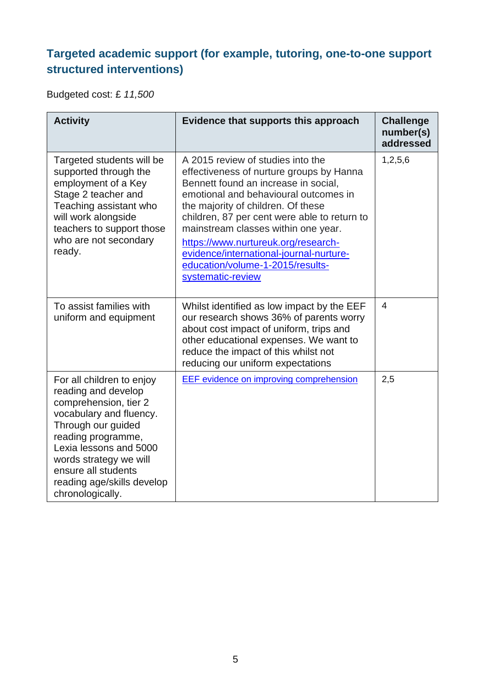## **Targeted academic support (for example, tutoring, one-to-one support structured interventions)**

Budgeted cost: £ *11,500*

| <b>Activity</b>                                                                                                                                                                                                                                                               | Evidence that supports this approach                                                                                                                                                                                                                                                                                                                                                                                                   | <b>Challenge</b><br>number(s)<br>addressed |
|-------------------------------------------------------------------------------------------------------------------------------------------------------------------------------------------------------------------------------------------------------------------------------|----------------------------------------------------------------------------------------------------------------------------------------------------------------------------------------------------------------------------------------------------------------------------------------------------------------------------------------------------------------------------------------------------------------------------------------|--------------------------------------------|
| Targeted students will be<br>supported through the<br>employment of a Key<br>Stage 2 teacher and<br>Teaching assistant who<br>will work alongside<br>teachers to support those<br>who are not secondary<br>ready.                                                             | A 2015 review of studies into the<br>effectiveness of nurture groups by Hanna<br>Bennett found an increase in social,<br>emotional and behavioural outcomes in<br>the majority of children. Of these<br>children, 87 per cent were able to return to<br>mainstream classes within one year.<br>https://www.nurtureuk.org/research-<br>evidence/international-journal-nurture-<br>education/volume-1-2015/results-<br>systematic-review | 1,2,5,6                                    |
| To assist families with<br>uniform and equipment                                                                                                                                                                                                                              | Whilst identified as low impact by the EEF<br>our research shows 36% of parents worry<br>about cost impact of uniform, trips and<br>other educational expenses. We want to<br>reduce the impact of this whilst not<br>reducing our uniform expectations                                                                                                                                                                                | $\overline{4}$                             |
| For all children to enjoy<br>reading and develop<br>comprehension, tier 2<br>vocabulary and fluency.<br>Through our guided<br>reading programme,<br>Lexia lessons and 5000<br>words strategy we will<br>ensure all students<br>reading age/skills develop<br>chronologically. | <b>EEF</b> evidence on improving comprehension                                                                                                                                                                                                                                                                                                                                                                                         | 2,5                                        |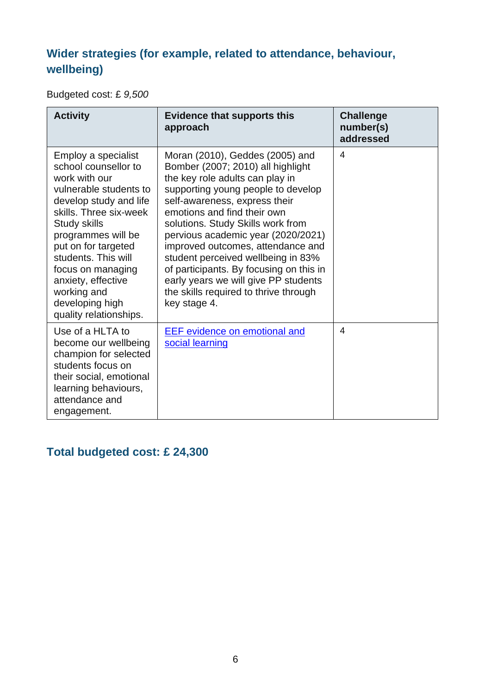## **Wider strategies (for example, related to attendance, behaviour, wellbeing)**

Budgeted cost: £ *9,500*

| <b>Activity</b>                                                                                                                                                                                                                                                                                                                              | <b>Evidence that supports this</b><br>approach                                                                                                                                                                                                                                                                                                                                                                                                                                                                  | <b>Challenge</b><br>number(s)<br>addressed |
|----------------------------------------------------------------------------------------------------------------------------------------------------------------------------------------------------------------------------------------------------------------------------------------------------------------------------------------------|-----------------------------------------------------------------------------------------------------------------------------------------------------------------------------------------------------------------------------------------------------------------------------------------------------------------------------------------------------------------------------------------------------------------------------------------------------------------------------------------------------------------|--------------------------------------------|
| Employ a specialist<br>school counsellor to<br>work with our<br>vulnerable students to<br>develop study and life<br>skills. Three six-week<br><b>Study skills</b><br>programmes will be<br>put on for targeted<br>students. This will<br>focus on managing<br>anxiety, effective<br>working and<br>developing high<br>quality relationships. | Moran (2010), Geddes (2005) and<br>Bomber (2007; 2010) all highlight<br>the key role adults can play in<br>supporting young people to develop<br>self-awareness, express their<br>emotions and find their own<br>solutions. Study Skills work from<br>pervious academic year (2020/2021)<br>improved outcomes, attendance and<br>student perceived wellbeing in 83%<br>of participants. By focusing on this in<br>early years we will give PP students<br>the skills required to thrive through<br>key stage 4. | 4                                          |
| Use of a HLTA to<br>become our wellbeing<br>champion for selected<br>students focus on<br>their social, emotional<br>learning behaviours,<br>attendance and<br>engagement.                                                                                                                                                                   | <b>EEF</b> evidence on emotional and<br>social learning                                                                                                                                                                                                                                                                                                                                                                                                                                                         | 4                                          |

## **Total budgeted cost: £ 24,300**